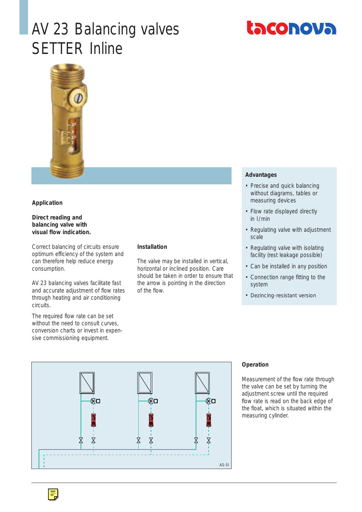## AV 23 Balancing valves SETTER Inline





#### **Application**

#### **Direct reading and balancing valve with visual flow indication.**

Correct balancing of circuits ensure optimum efficiency of the system and can therefore help reduce energy consumption.

AV 23 balancing valves facilitate fast and accurate adjustment of flow rates through heating and air conditioning circuits.

The required flow rate can be set without the need to consult curves, conversion charts or invest in expensive commissioning equipment.

#### **Installation**

The valve may be installed in vertical, horizontal or inclined position. Care should be taken in order to ensure that the arrow is pointing in the direction of the flow.

#### **Advantages**

- Precise and quick balancing without diagrams, tables or measuring devices
- Flow rate displayed directly in  $1/m$ in
- Regulating valve with adjustment scale
- Regulating valve with isolating facility (rest leakage possible)
- Can be installed in any position
- Connection range fitting to the system
- Dezincing-resistant version



#### **Operation**

Measurement of the flow rate through the valve can be set by turning the adjustment screw until the required flow rate is read on the back edge of the float, which is situated within the measuring cylinder.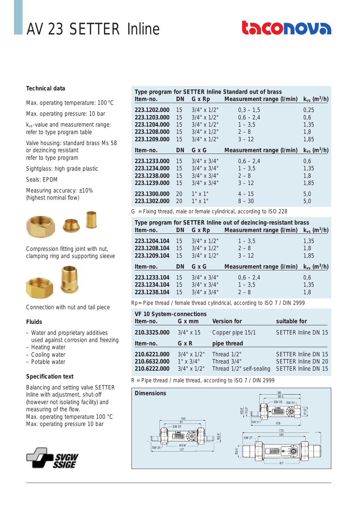# AV 23 SETTER Inline

# **Laconova**

#### **Technical data**

Max. operating temperature: 100 °C

Max. operating pressure: 10 bar

kvs -value and measurement range: refer to type program table

Valve housing: standard brass Ms 58 or dezincing resistant refer to type program

Sightglass: high grade plastic

Seals: EPDM

Measuring accuracy: ±10% (highest nominal flow)



Compression fitting joint with nut, clamping ring and supporting sleeve



Connection with nut and tail piece

#### **Fluids**

- Water and proprietary additives used against corrosion and freezing
- Heating water
- Cooling water
- Potable water

#### **Specification text**

Balancing and setting valve SETTER Inline with adjustment, shut-off (however not isolating facility) and measuring of the flow. Max. operating temperature 100 °C Max. operating pressure 10 bar



| Type program for SETTER Inline Standard out of brass |           |                   |                                  |                              |
|------------------------------------------------------|-----------|-------------------|----------------------------------|------------------------------|
| Item-no.                                             | <b>DN</b> |                   | G x Rp Measurement range (I/min) | $k_{vs}$ (m <sup>3</sup> /h) |
| 223.1202.000                                         | 15        | $3/4$ " x $1/2$ " | $0.3 - 1.5$                      | 0.25                         |
| 223.1203.000                                         | 15        | $3/4$ " x $1/2$ " | $0,6 - 2,4$                      | 0,6                          |
| 223.1204.000                                         | 15        | $3/4$ " x $1/2$ " | $1 - 3.5$                        | 1,35                         |
| 223.1208.000                                         | 15        | $3/4$ " x $1/2$ " | $2 - 8$                          | 1.8                          |
| 223.1209.000                                         | 15        | $3/4$ " x $1/2$ " | $3 - 12$                         | 1,85                         |
|                                                      |           |                   |                                  |                              |
| Item-no.                                             | <b>DN</b> | G x G             | Measurement range (I/min)        | $k_{vs}$ (m <sup>3</sup> /h) |
| 223.1233.000                                         | 15        | $3/4$ " x $3/4$ " | $0.6 - 2.4$                      | 0.6                          |
| 223.1234.000                                         | 15        | $3/4$ " x $3/4$ " | $1 - 3.5$                        | 1.35                         |
| 223.1238.000                                         | 15        | $3/4$ " x $3/4$ " | $2 - 8$                          | 1,8                          |
| 223.1239.000                                         | 15        | $3/4$ " x $3/4$ " | $3 - 12$                         | 1.85                         |
| 223.1300.000                                         | 20        | $1"$ x $1"$       | $4 - 15$                         | 5,0                          |

G = Fixing thread, male or female cylindrical, according to ISO 228

| Type program for SETTER Inline out of dezincing-resistant brass<br>Measurement range (I/min)<br>G x Rp<br><b>DN</b><br>$k_{vs}$ (m <sup>3</sup> /h)<br>Item-no. |                |                                                             |                                  |                              |
|-----------------------------------------------------------------------------------------------------------------------------------------------------------------|----------------|-------------------------------------------------------------|----------------------------------|------------------------------|
| 223.1204.104<br>223.1208.104<br>223.1209.104                                                                                                                    | 15<br>15<br>15 | $3/4$ " x $1/2$ "<br>$3/4$ " x $1/2$ "<br>$3/4$ " x $1/2$ " | $1 - 3,5$<br>$2 - 8$<br>$3 - 12$ | 1.35<br>1.8<br>1.85          |
| Item-no.                                                                                                                                                        | <b>DN</b>      | GxG                                                         | Measurement range (I/min)        | $k_{vs}$ (m <sup>3</sup> /h) |
| 223.1233.104                                                                                                                                                    | 15             | $3/4$ " x $3/4$ "                                           | $0,6 - 2,4$                      | 0,6                          |

Rp= Pipe thread / female thread cylindrical, according to ISO 7 / DIN 2999

| <b>VF 10 System-connections</b>              |                                                            |                                                        |                                                                   |
|----------------------------------------------|------------------------------------------------------------|--------------------------------------------------------|-------------------------------------------------------------------|
| Item-no.                                     | G x mm                                                     | <b>Version for</b>                                     | suitable for                                                      |
| 210.3325.000                                 | $3/4$ " x 15                                               | Copper pipe 15/1                                       | <b>SETTER Inline DN 15</b>                                        |
| Item-no.                                     | G x R                                                      | pipe thread                                            |                                                                   |
| 210.6221.000<br>210.6632.000<br>210.6222.000 | $3/4$ " x $1/2$ "<br>$1" \times 3/4"$<br>$3/4$ " x $1/2$ " | Thread 1/2"<br>Thread 3/4"<br>Thread 1/2" self-sealing | SETTER Inline DN 15<br>SETTER Inline DN 20<br>SETTER Inline DN 15 |

R = Pipe thread / male thread, according to ISO 7 / DIN 2999

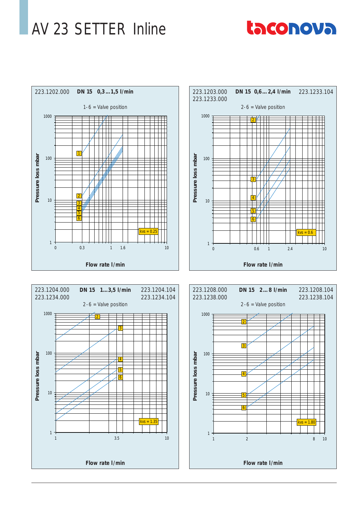### AV 23 SETTER Inline

# taconova





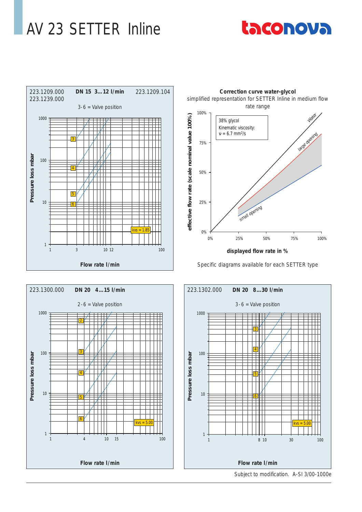### AV 23 SETTER Inline









Subject to modification. A-SI 3/00-1000e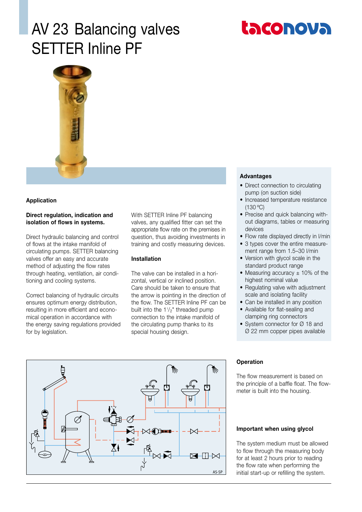### AV 23 Balancing valves SETTER Inline PF





#### **Application**

#### **Direct regulation, indication and isolation of flows in systems.**

Direct hydraulic balancing and control of flows at the intake manifold of circulating pumps. SETTER balancing valves offer an easy and accurate method of adjusting the flow rates through heating, ventilation, air conditioning and cooling systems.

Correct balancing of hydraulic circuits ensures optimum energy distribution, resulting in more efficient and economical operation in accordance with the energy saving regulations provided for by legislation.

With SETTER Inline PF balancing valves, any qualified fitter can set the appropriate flow rate on the premises in question, thus avoiding investments in training and costly measuring devices.

#### **Installation**

The valve can be installed in a horizontal, vertical or inclined position. Care should be taken to ensure that the arrow is pointing in the direction of the flow. The SETTER Inline PF can be built into the 1<sup>1</sup>/<sub>2</sub>" threaded pump connection to the intake manifold of the circulating pump thanks to its special housing design.

#### **Advantages**

- Direct connection to circulating pump (on suction side)
- Increased temperature resistance (130 ºC)
- Precise and quick balancing without diagrams, tables or measuring devices
- Flow rate displayed directly in l/min
- 3 types cover the entire measurement range from 1.5–30 l/min
- Version with glycol scale in the standard product range
- Measuring accuracy  $\pm$  10% of the highest nominal value
- Regulating valve with adjustment scale and isolating facility
- Can be installed in any position
- Available for flat-sealing and clamping ring connectors
- System connector for Ø 18 and Ø 22 mm copper pipes available



#### **Operation**

The flow measurement is based on the principle of a baffle float. The flowmeter is built into the housing.

#### **Important when using glycol**

The system medium must be allowed to flow through the measuring body for at least 2 hours prior to reading the flow rate when performing the initial start-up or refilling the system.